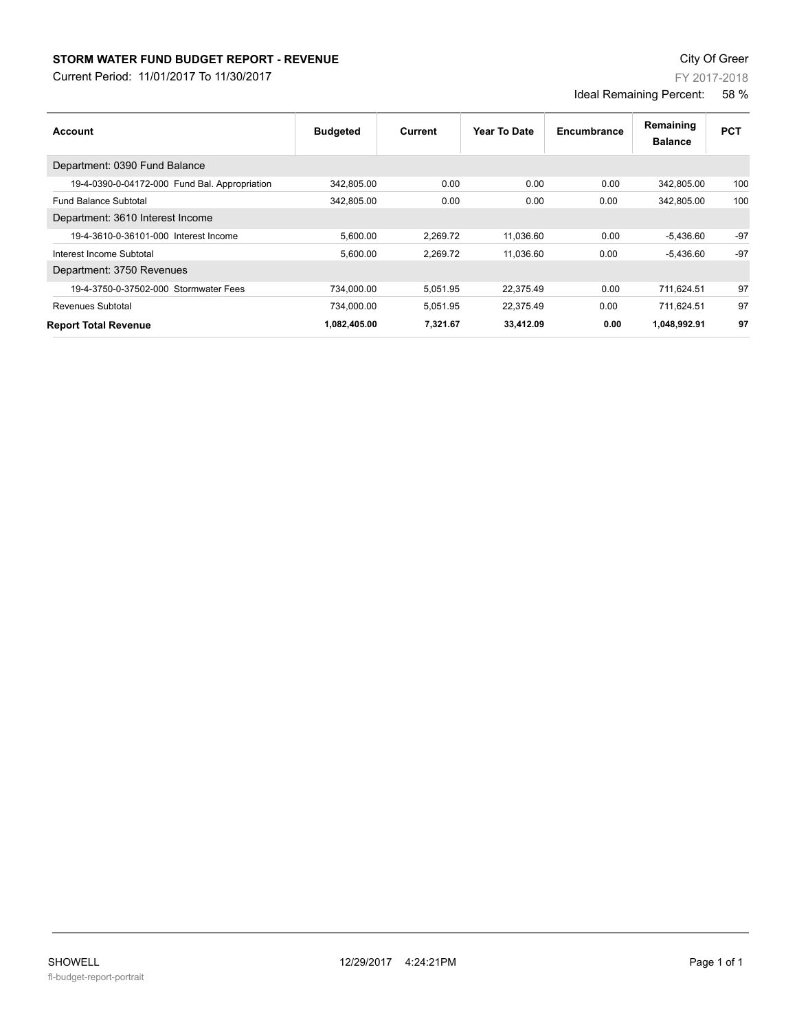## **STORM WATER FUND BUDGET REPORT - REVENUE CONTEXT AND REPORT ASSESSMENT OF A STORM WATER FUND BUDGET REPORT - REVENUE**

Current Period: 11/01/2017 To 11/30/2017

FY 2017-2018

Ideal Remaining Percent: 58 %

| Account                                       | <b>Budgeted</b> | Current  | Year To Date | Encumbrance | Remaining<br><b>Balance</b> | <b>PCT</b> |
|-----------------------------------------------|-----------------|----------|--------------|-------------|-----------------------------|------------|
| Department: 0390 Fund Balance                 |                 |          |              |             |                             |            |
| 19-4-0390-0-04172-000 Fund Bal. Appropriation | 342,805.00      | 0.00     | 0.00         | 0.00        | 342,805.00                  | 100        |
| <b>Fund Balance Subtotal</b>                  | 342.805.00      | 0.00     | 0.00         | 0.00        | 342.805.00                  | 100        |
| Department: 3610 Interest Income              |                 |          |              |             |                             |            |
| 19-4-3610-0-36101-000 Interest Income         | 5,600.00        | 2,269.72 | 11,036.60    | 0.00        | $-5,436.60$                 | $-97$      |
| Interest Income Subtotal                      | 5,600.00        | 2.269.72 | 11.036.60    | 0.00        | $-5,436.60$                 | $-97$      |
| Department: 3750 Revenues                     |                 |          |              |             |                             |            |
| 19-4-3750-0-37502-000 Stormwater Fees         | 734,000.00      | 5,051.95 | 22,375.49    | 0.00        | 711,624.51                  | 97         |
| <b>Revenues Subtotal</b>                      | 734,000.00      | 5,051.95 | 22,375.49    | 0.00        | 711,624.51                  | 97         |
| <b>Report Total Revenue</b>                   | 1,082,405.00    | 7,321.67 | 33,412.09    | 0.00        | 1,048,992.91                | 97         |